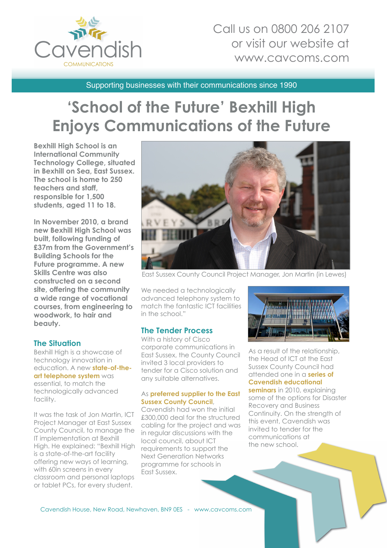

## Call us on 0800 206 2107 or visit our website at www.cavcoms.com

Supporting businesses with their communications since 1990

# **'School of the Future' Bexhill High Enjoys Communications of the Future**

**Bexhill High School is an International Community Technology College, situated in Bexhill on Sea, East Sussex. The school is home to 250 teachers and staff, responsible for 1,500 students, aged 11 to 18.**

**In November 2010, a brand new Bexhill High School was built, following funding of £37m from the Government's Building Schools for the Future programme. A new Skills Centre was also constructed on a second site, offering the community a wide range of vocational courses, from engineering to woodwork, to hair and beauty.**

#### **The Situation**

Bexhill High is a showcase of technology innovation in education. A new **state-of-theart telephone system** was essential, to match the technologically advanced facility.

It was the task of Jon Martin, ICT Project Manager at East Sussex County Council, to manage the IT implementation at Bexhill High. He explained: "Bexhill High is a state-of-the-art facility offering new ways of learning, with 60in screens in every classroom and personal laptops or tablet PCs, for every student.



East Sussex County Council Project Manager, Jon Martin (in Lewes)

We needed a technologically advanced telephony system to match the fantastic ICT facilities in the school."

#### **The Tender Process**

With a history of Cisco corporate communications in East Sussex, the County Council invited 3 local providers to tender for a Cisco solution and any suitable alternatives.

#### As **preferred supplier to the East Sussex County Council**,

Cavendish had won the initial £300,000 deal for the structured cabling for the project and was in regular discussions with the local council, about ICT requirements to support the Next Generation Networks programme for schools in East Sussex.



As a result of the relationship, the Head of ICT at the East Sussex County Council had attended one in a **series of Cavendish educational seminars** in 2010, explaining some of the options for Disaster Recovery and Business Continuity. On the strength of this event, Cavendish was invited to tender for the communications at the new school.

Cavendish House, New Road, Newhaven, BN9 0ES - www.cavcoms.com